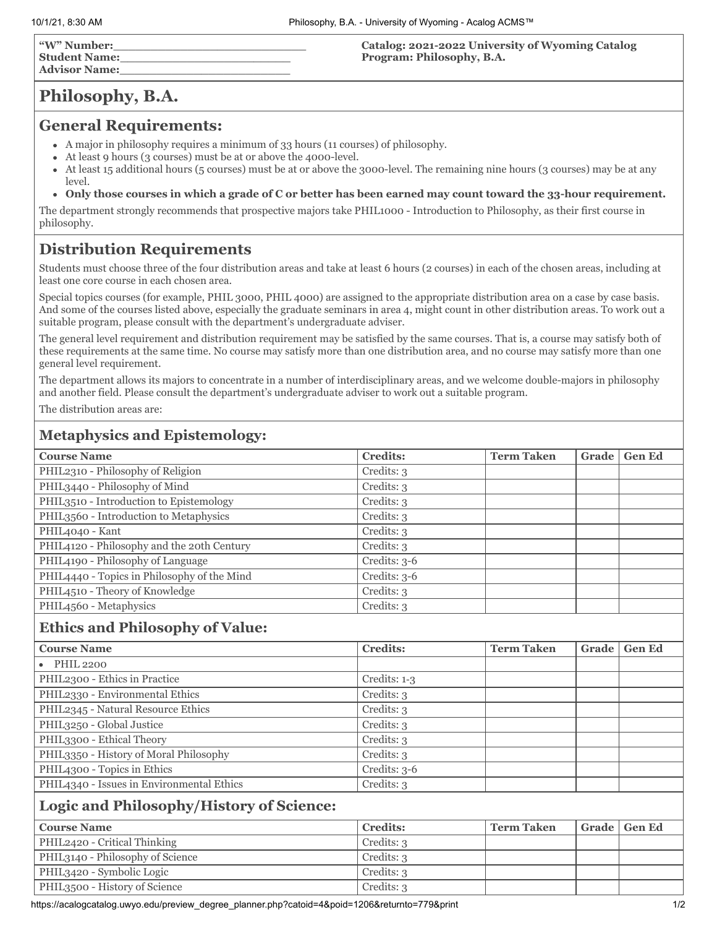| "W" Number:          |  |
|----------------------|--|
| <b>Student Name:</b> |  |
| <b>Advisor Name:</b> |  |

**Catalog: 2021-2022 University of Wyoming Catalog Program: Philosophy, B.A.**

# **Philosophy, B.A.**

#### **General Requirements:**

- A major in philosophy requires a minimum of 33 hours (11 courses) of philosophy.
- At least 9 hours (3 courses) must be at or above the 4000-level.
- At least 15 additional hours (5 courses) must be at or above the 3000-level. The remaining nine hours (3 courses) may be at any level.
- **Only those courses in which a grade of C or better has been earned may count toward the 33-hour requirement.**

The department strongly recommends that prospective majors take PHIL1000 - Introduction to Philosophy, as their first course in philosophy.

## **Distribution Requirements**

Students must choose three of the four distribution areas and take at least 6 hours (2 courses) in each of the chosen areas, including at least one core course in each chosen area.

Special topics courses (for example, PHIL 3000, PHIL 4000) are assigned to the appropriate distribution area on a case by case basis. And some of the courses listed above, especially the graduate seminars in area 4, might count in other distribution areas. To work out a suitable program, please consult with the department's undergraduate adviser.

The general level requirement and distribution requirement may be satisfied by the same courses. That is, a course may satisfy both of these requirements at the same time. No course may satisfy more than one distribution area, and no course may satisfy more than one general level requirement.

The department allows its majors to concentrate in a number of interdisciplinary areas, and we welcome double-majors in philosophy and another field. Please consult the department's undergraduate adviser to work out a suitable program.

The distribution areas are:

## **Metaphysics and Epistemology:**

| <b>Course Name</b>                          | <b>Credits:</b> | <b>Term Taken</b> | <b>Grade</b> | <b>Gen Ed</b> |
|---------------------------------------------|-----------------|-------------------|--------------|---------------|
| PHIL2310 - Philosophy of Religion           | Credits: 3      |                   |              |               |
| PHIL3440 - Philosophy of Mind               | Credits: 3      |                   |              |               |
| PHIL3510 - Introduction to Epistemology     | Credits: 3      |                   |              |               |
| PHIL3560 - Introduction to Metaphysics      | Credits: 3      |                   |              |               |
| PHIL4040 - Kant                             | Credits: 3      |                   |              |               |
| PHIL4120 - Philosophy and the 20th Century  | Credits: 3      |                   |              |               |
| PHIL4190 - Philosophy of Language           | Credits: $3-6$  |                   |              |               |
| PHIL4440 - Topics in Philosophy of the Mind | Credits: $3-6$  |                   |              |               |
| PHIL4510 - Theory of Knowledge              | Credits: 3      |                   |              |               |
| PHIL4560 - Metaphysics                      | Credits: 3      |                   |              |               |

## **Ethics and Philosophy of Value:**

| <b>Course Name</b>                        | <b>Credits:</b> | <b>Term Taken</b> | Grade | <b>Gen Ed</b> |
|-------------------------------------------|-----------------|-------------------|-------|---------------|
| $\bullet$ PHIL 2200                       |                 |                   |       |               |
| PHIL2300 - Ethics in Practice             | $Credits: 1-3$  |                   |       |               |
| PHIL2330 - Environmental Ethics           | Credits: 3      |                   |       |               |
| PHIL2345 - Natural Resource Ethics        | Credits: 3      |                   |       |               |
| PHIL3250 - Global Justice                 | Credits: 3      |                   |       |               |
| PHIL3300 - Ethical Theory                 | Credits: 3      |                   |       |               |
| PHIL3350 - History of Moral Philosophy    | Credits: 3      |                   |       |               |
| PHIL4300 - Topics in Ethics               | Credits: 3-6    |                   |       |               |
| PHIL4340 - Issues in Environmental Ethics | Credits: 3      |                   |       |               |
| $\sim$ $\sim$ $\sim$                      |                 |                   |       |               |

#### **Logic and Philosophy/History of Science:**

| <b>Course Name</b>               | <b>Credits:</b> | <b>Term Taken</b> | Grade   Gen Ed |
|----------------------------------|-----------------|-------------------|----------------|
| PHIL2420 - Critical Thinking     | Credits: 3      |                   |                |
| PHIL3140 - Philosophy of Science | Credits: 3      |                   |                |
| PHIL3420 - Symbolic Logic        | Credits: 3      |                   |                |
| PHIL3500 - History of Science    | Credits: 3      |                   |                |

https://acalogcatalog.uwyo.edu/preview\_degree\_planner.php?catoid=4&poid=1206&returnto=779&print 1/2